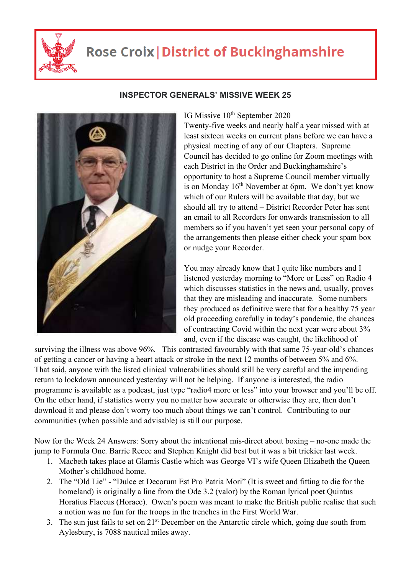

## **Rose Croix | District of Buckinghamshire**



## **INSPECTOR GENERALS' MISSIVE WEEK 25**

IG Missive 10<sup>th</sup> September 2020

Twenty-five weeks and nearly half a year missed with at least sixteen weeks on current plans before we can have a physical meeting of any of our Chapters. Supreme Council has decided to go online for Zoom meetings with each District in the Order and Buckinghamshire's opportunity to host a Supreme Council member virtually is on Monday  $16<sup>th</sup>$  November at 6pm. We don't yet know which of our Rulers will be available that day, but we should all try to attend – District Recorder Peter has sent an email to all Recorders for onwards transmission to all members so if you haven't yet seen your personal copy of the arrangements then please either check your spam box or nudge your Recorder.

You may already know that I quite like numbers and I listened yesterday morning to "More or Less" on Radio 4 which discusses statistics in the news and, usually, proves that they are misleading and inaccurate. Some numbers they produced as definitive were that for a healthy 75 year old proceeding carefully in today's pandemic, the chances of contracting Covid within the next year were about 3% and, even if the disease was caught, the likelihood of

surviving the illness was above 96%. This contrasted favourably with that same 75-year-old's chances of getting a cancer or having a heart attack or stroke in the next 12 months of between 5% and 6%. That said, anyone with the listed clinical vulnerabilities should still be very careful and the impending return to lockdown announced yesterday will not be helping. If anyone is interested, the radio programme is available as a podcast, just type "radio4 more or less" into your browser and you'll be off. On the other hand, if statistics worry you no matter how accurate or otherwise they are, then don't download it and please don't worry too much about things we can't control. Contributing to our communities (when possible and advisable) is still our purpose.

Now for the Week 24 Answers: Sorry about the intentional mis-direct about boxing – no-one made the jump to Formula One. Barrie Reece and Stephen Knight did best but it was a bit trickier last week.

- 1. Macbeth takes place at Glamis Castle which was George VI's wife Queen Elizabeth the Queen Mother's childhood home.
- 2. The "Old Lie" "Dulce et Decorum Est Pro Patria Mori" (It is sweet and fitting to die for the homeland) is originally a line from the Ode 3.2 (valor) by the Roman lyrical poet Quintus Horatius Flaccus (Horace). Owen's poem was meant to make the British public realise that such a notion was no fun for the troops in the trenches in the First World War.
- 3. The sun just fails to set on  $21<sup>st</sup>$  December on the Antarctic circle which, going due south from Aylesbury, is 7088 nautical miles away.